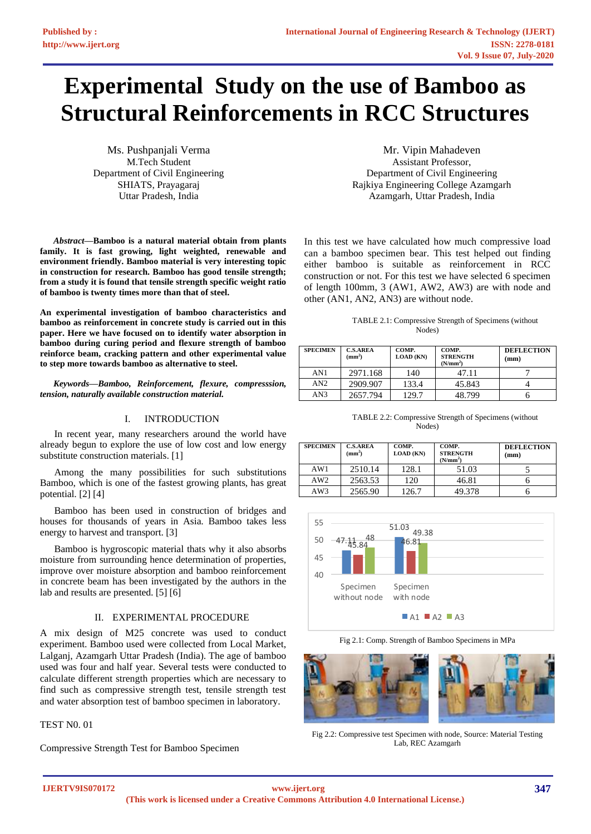# **Experimental Study on the use of Bamboo as Structural Reinforcements in RCC Structures**

Ms. Pushpanjali Verma M.Tech Student Department of Civil Engineering SHIATS, Prayagaraj Uttar Pradesh, India

*Abstract***—Bamboo is a natural material obtain from plants family. It is fast growing, light weighted, renewable and environment friendly. Bamboo material is very interesting topic in construction for research. Bamboo has good tensile strength; from a study it is found that tensile strength specific weight ratio of bamboo is twenty times more than that of steel.** 

**An experimental investigation of bamboo characteristics and bamboo as reinforcement in concrete study is carried out in this paper. Here we have focused on to identify water absorption in bamboo during curing period and flexure strength of bamboo reinforce beam, cracking pattern and other experimental value to step more towards bamboo as alternative to steel.**

*Keywords—Bamboo, Reinforcement, flexure, compresssion, tension, naturally available construction material.*

# I. INTRODUCTION

In recent year, many researchers around the world have already begun to explore the use of low cost and low energy substitute construction materials. [1]

Among the many possibilities for such substitutions Bamboo, which is one of the fastest growing plants, has great potential. [2] [4]

Bamboo has been used in construction of bridges and houses for thousands of years in Asia. Bamboo takes less energy to harvest and transport. [3]

Bamboo is hygroscopic material thats why it also absorbs moisture from surrounding hence determination of properties, improve over moisture absorption and bamboo reinforcement in concrete beam has been investigated by the authors in the lab and results are presented. [5] [6]

# II. EXPERIMENTAL PROCEDURE

A mix design of M25 concrete was used to conduct experiment. Bamboo used were collected from Local Market, Lalganj, Azamgarh Uttar Pradesh (India). The age of bamboo used was four and half year. Several tests were conducted to calculate different strength properties which are necessary to find such as compressive strength test, tensile strength test and water absorption test of bamboo specimen in laboratory.

TEST N0. 01

Compressive Strength Test for Bamboo Specimen

Mr. Vipin Mahadeven Assistant Professor, Department of Civil Engineering Rajkiya Engineering College Azamgarh Azamgarh, Uttar Pradesh, India

In this test we have calculated how much compressive load can a bamboo specimen bear. This test helped out finding either bamboo is suitable as reinforcement in RCC construction or not. For this test we have selected 6 specimen of length 100mm, 3 (AW1, AW2, AW3) are with node and other (AN1, AN2, AN3) are without node.

| TABLE 2.1: Compressive Strength of Specimens (without |  |
|-------------------------------------------------------|--|
| Nodes)                                                |  |

| <b>SPECIMEN</b> | <b>C.S.AREA</b><br>(mm <sup>2</sup> ) | COMP.<br><b>LOAD</b> (KN) | COMP.<br><b>STRENGTH</b><br>(N/mm <sup>2</sup> ) | <b>DEFLECTION</b><br>(mm) |
|-----------------|---------------------------------------|---------------------------|--------------------------------------------------|---------------------------|
| AN1             | 2971.168                              | 140                       | 47.11                                            |                           |
| AN2             | 2909.907                              | 133.4                     | 45.843                                           |                           |
| AN3             | 2657.794                              | 129.7                     | 48.799                                           |                           |

TABLE 2.2: Compressive Strength of Specimens (without Nodes)

| <b>SPECIMEN</b> | <b>C.S.AREA</b><br>(mm <sup>2</sup> ) | COMP.<br><b>LOAD</b> (KN) | COMP.<br><b>STRENGTH</b><br>(N/mm <sup>2</sup> ) | <b>DEFLECTION</b><br>(mm) |
|-----------------|---------------------------------------|---------------------------|--------------------------------------------------|---------------------------|
| AW1             | 2510.14                               | 128.1                     | 51.03                                            |                           |
| AW2             | 2563.53                               | 120                       | 46.81                                            |                           |
| AW3             | 2565.90                               | 126.7                     | 49.378                                           |                           |



Fig 2.1: Comp. Strength of Bamboo Specimens in MPa



Fig 2.2: Compressive test Specimen with node, Source: Material Testing Lab, REC Azamgarh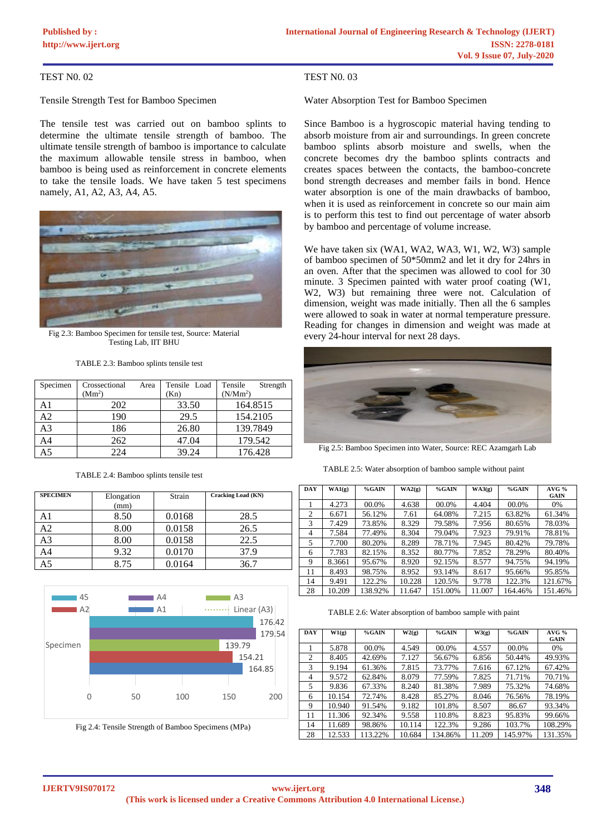# TEST N0. 02

Tensile Strength Test for Bamboo Specimen

The tensile test was carried out on bamboo splints to determine the ultimate tensile strength of bamboo. The ultimate tensile strength of bamboo is importance to calculate the maximum allowable tensile stress in bamboo, when bamboo is being used as reinforcement in concrete elements to take the tensile loads. We have taken 5 test specimens namely, A1, A2, A3, A4, A5.



Fig 2.3: Bamboo Specimen for tensile test, Source: Material Testing Lab, IIT BHU

TABLE 2.3: Bamboo splints tensile test

| Specimen       | Crossectional      | Area | Tensile Load | Tensile<br>Strength  |
|----------------|--------------------|------|--------------|----------------------|
|                | (Mm <sup>2</sup> ) |      | (Kn)         | (N/Mm <sup>2</sup> ) |
| A1             | 202                |      | 33.50        | 164.8515             |
| A <sub>2</sub> | 190                |      | 29.5         | 154.2105             |
| A3             | 186                |      | 26.80        | 139.7849             |
| A <sub>4</sub> | 262                |      | 47.04        | 179.542              |
| A5             | 224                |      | 39.24        | 176.428              |

| <b>SPECIMEN</b> | Elongation<br>(mm) | Strain | <b>Cracking Load (KN)</b> |
|-----------------|--------------------|--------|---------------------------|
| A1              | 8.50               | 0.0168 | 28.5                      |
| А2              | 8.00               | 0.0158 | 26.5                      |
| A3              | 8.00               | 0.0158 | 22.5                      |
| A4              | 9.32               | 0.0170 | 37.9                      |
| A5              | 8.75               | 0.0164 | 36.7                      |

TABLE 2.4: Bamboo splints tensile test



Fig 2.4: Tensile Strength of Bamboo Specimens (MPa)

# TEST N0. 03

Water Absorption Test for Bamboo Specimen

Since Bamboo is a hygroscopic material having tending to absorb moisture from air and surroundings. In green concrete bamboo splints absorb moisture and swells, when the concrete becomes dry the bamboo splints contracts and creates spaces between the contacts, the bamboo-concrete bond strength decreases and member fails in bond. Hence water absorption is one of the main drawbacks of bamboo, when it is used as reinforcement in concrete so our main aim is to perform this test to find out percentage of water absorb by bamboo and percentage of volume increase.

We have taken six (WA1, WA2, WA3, W1, W2, W3) sample of bamboo specimen of 50\*50mm2 and let it dry for 24hrs in an oven. After that the specimen was allowed to cool for 30 minute. 3 Specimen painted with water proof coating (W1, W2, W3) but remaining three were not. Calculation of dimension, weight was made initially. Then all the 6 samples were allowed to soak in water at normal temperature pressure. Reading for changes in dimension and weight was made at every 24-hour interval for next 28 days.



Fig 2.5: Bamboo Specimen into Water, Source: REC Azamgarh Lab

TABLE 2.5: Water absorption of bamboo sample without paint

| <b>DAY</b> | WA1(g) | %GAIN   | WA2(g) | %GAIN   | WA3(g) | %GAIN   | AVG%<br><b>GAIN</b> |
|------------|--------|---------|--------|---------|--------|---------|---------------------|
|            | 4.273  | 00.0%   | 4.638  | 00.0%   | 4.404  | 00.0%   | 0%                  |
| 2          | 6.671  | 56.12%  | 7.61   | 64.08%  | 7.215  | 63.82%  | 61.34%              |
| 3          | 7.429  | 73.85%  | 8.329  | 79.58%  | 7.956  | 80.65%  | 78.03%              |
| 4          | 7.584  | 77.49%  | 8.304  | 79.04%  | 7.923  | 79.91%  | 78.81%              |
| 5          | 7.700  | 80.20%  | 8.289  | 78.71%  | 7.945  | 80.42%  | 79.78%              |
| 6          | 7.783  | 82.15%  | 8.352  | 80.77%  | 7.852  | 78.29%  | 80.40%              |
| 9          | 8.3661 | 95.67%  | 8.920  | 92.15%  | 8.577  | 94.75%  | 94.19%              |
| 11         | 8.493  | 98.75%  | 8.952  | 93.14%  | 8.617  | 95.66%  | 95.85%              |
| 14         | 9.491  | 122.2%  | 10.228 | 120.5%  | 9.778  | 122.3%  | 121.67%             |
| 28         | 10.209 | 138.92% | 11.647 | 151.00% | 11.007 | 164.46% | 151.46%             |

TABLE 2.6: Water absorption of bamboo sample with paint

| <b>DAY</b> | W1(g)  | %GAIN   | W2(g)  | %GAIN   | W3(g)  | %GAIN   | AVG%<br><b>GAIN</b> |
|------------|--------|---------|--------|---------|--------|---------|---------------------|
|            | 5.878  | 00.0%   | 4.549  | 00.0%   | 4.557  | 00.0%   | 0%                  |
| 2          | 8.405  | 42.69%  | 7.127  | 56.67%  | 6.856  | 50.44%  | 49.93%              |
| 3          | 9.194  | 61.36%  | 7.815  | 73.77%  | 7.616  | 67.12%  | 67.42%              |
| 4          | 9.572  | 62.84%  | 8.079  | 77.59%  | 7.825  | 71.71%  | 70.71%              |
| 5          | 9.836  | 67.33%  | 8.240  | 81.38%  | 7.989  | 75.32%  | 74.68%              |
| 6          | 10.154 | 72.74%  | 8.428  | 85.27%  | 8.046  | 76.56%  | 78.19%              |
| 9          | 10.940 | 91.54%  | 9.182  | 101.8%  | 8.507  | 86.67   | 93.34%              |
| 11         | 11.306 | 92.34%  | 9.558  | 110.8%  | 8.823  | 95.83%  | 99.66%              |
| 14         | 11.689 | 98.86%  | 10.114 | 122.3%  | 9.286  | 103.7%  | 108.29%             |
| 28         | 12.533 | 113.22% | 10.684 | 134.86% | 11.209 | 145.97% | 131.35%             |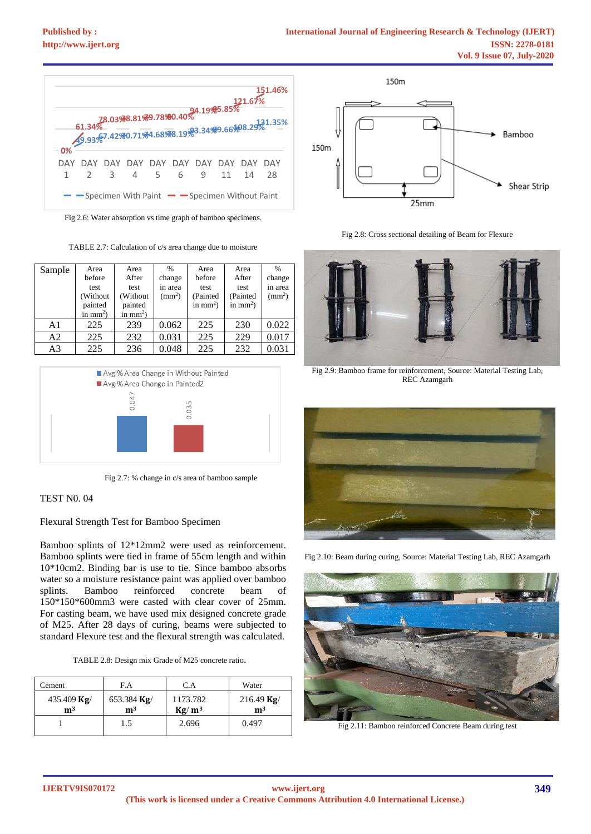

Fig 2.6: Water absorption vs time graph of bamboo specimens.

TABLE 2.7: Calculation of c/s area change due to moisture

| Sample | Area<br>before<br>test<br>(Without<br>painted<br>in $mm2$ ) | Area<br>After<br>test<br>(Without)<br>painted<br>in $mm2$ ) | $\frac{0}{0}$<br>change<br>in area<br>$\text{(mm}^2)$ | Area<br>before<br>test<br>(Painted<br>in $mm2$ ) | Area<br>After<br>test<br>(Painted<br>in $mm2$ ) | $\frac{0}{0}$<br>change<br>in area<br>$\rm (mm^2)$ |
|--------|-------------------------------------------------------------|-------------------------------------------------------------|-------------------------------------------------------|--------------------------------------------------|-------------------------------------------------|----------------------------------------------------|
| A1     | 225                                                         | 239                                                         | 0.062                                                 | 225                                              | 230                                             | 0.022                                              |
| A2     | 225                                                         | 232                                                         | 0.031                                                 | 225                                              | 229                                             | 0.017                                              |
| A3     | 225                                                         | 236                                                         | 0.048                                                 | 225                                              | 232                                             | 0.031                                              |



Fig 2.7: % change in c/s area of bamboo sample

## TEST N0. 04

Flexural Strength Test for Bamboo Specimen

Bamboo splints of 12\*12mm2 were used as reinforcement. Bamboo splints were tied in frame of 55cm length and within 10\*10cm2. Binding bar is use to tie. Since bamboo absorbs water so a moisture resistance paint was applied over bamboo splints. Bamboo reinforced concrete beam of 150\*150\*600mm3 were casted with clear cover of 25mm. For casting beam, we have used mix designed concrete grade of M25. After 28 days of curing, beams were subjected to standard Flexure test and the flexural strength was calculated.

|  | TABLE 2.8: Design mix Grade of M25 concrete ratio. |
|--|----------------------------------------------------|
|--|----------------------------------------------------|

| Cement                        | F.A                           | C.A                  | Water                                 |
|-------------------------------|-------------------------------|----------------------|---------------------------------------|
| 435.409 Kg/<br>m <sup>3</sup> | 653.384 Kg/<br>m <sup>3</sup> | 1173.782<br>$Kg/m^3$ | 216.49 $\text{Kg}/$<br>m <sup>3</sup> |
|                               | 1.5                           | 2.696                | 0.497                                 |



Fig 2.8: Cross sectional detailing of Beam for Flexure



Fig 2.9: Bamboo frame for reinforcement, Source: Material Testing Lab, REC Azamgarh



Fig 2.10: Beam during curing, Source: Material Testing Lab, REC Azamgarh



Fig 2.11: Bamboo reinforced Concrete Beam during test